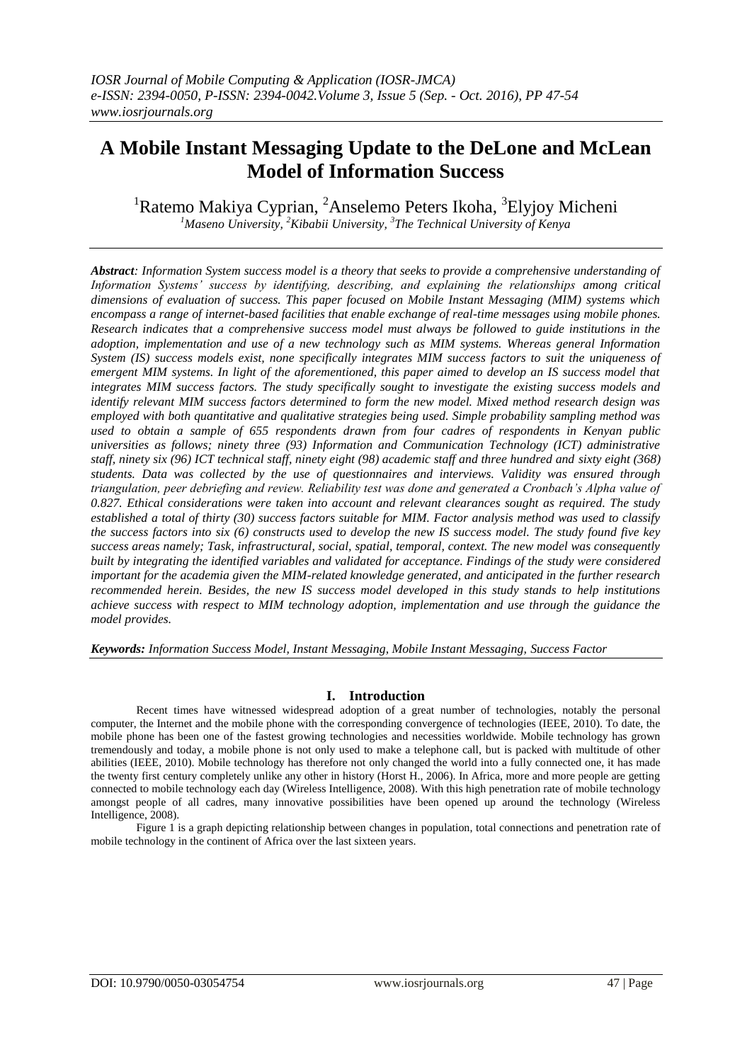# **A Mobile Instant Messaging Update to the DeLone and McLean Model of Information Success**

<sup>1</sup>Ratemo Makiya Cyprian, <sup>2</sup>Anselemo Peters Ikoha, <sup>3</sup>Elyjoy Micheni *<sup>1</sup>Maseno University, <sup>2</sup>Kibabii University, <sup>3</sup> The Technical University of Kenya*

*Abstract: Information System success model is a theory that seeks to provide a comprehensive understanding of Information Systems' success by identifying, describing, and explaining the relationships among critical dimensions of evaluation of success. This paper focused on Mobile Instant Messaging (MIM) systems which encompass a range of internet-based facilities that enable exchange of real-time messages using mobile phones. Research indicates that a comprehensive success model must always be followed to guide institutions in the adoption, implementation and use of a new technology such as MIM systems. Whereas general Information System (IS) success models exist, none specifically integrates MIM success factors to suit the uniqueness of emergent MIM systems. In light of the aforementioned, this paper aimed to develop an IS success model that integrates MIM success factors. The study specifically sought to investigate the existing success models and identify relevant MIM success factors determined to form the new model. Mixed method research design was employed with both quantitative and qualitative strategies being used. Simple probability sampling method was used to obtain a sample of 655 respondents drawn from four cadres of respondents in Kenyan public universities as follows; ninety three (93) Information and Communication Technology (ICT) administrative staff, ninety six (96) ICT technical staff, ninety eight (98) academic staff and three hundred and sixty eight (368) students. Data was collected by the use of questionnaires and interviews. Validity was ensured through triangulation, peer debriefing and review. Reliability test was done and generated a Cronbach's Alpha value of 0.827. Ethical considerations were taken into account and relevant clearances sought as required. The study established a total of thirty (30) success factors suitable for MIM. Factor analysis method was used to classify the success factors into six (6) constructs used to develop the new IS success model. The study found five key success areas namely; Task, infrastructural, social, spatial, temporal, context. The new model was consequently built by integrating the identified variables and validated for acceptance. Findings of the study were considered important for the academia given the MIM-related knowledge generated, and anticipated in the further research recommended herein. Besides, the new IS success model developed in this study stands to help institutions achieve success with respect to MIM technology adoption, implementation and use through the guidance the model provides.*

*Keywords: Information Success Model, Instant Messaging, Mobile Instant Messaging, Success Factor*

## **I. Introduction**

Recent times have witnessed widespread adoption of a great number of technologies, notably the personal computer, the Internet and the mobile phone with the corresponding convergence of technologies (IEEE, 2010). To date, the mobile phone has been one of the fastest growing technologies and necessities worldwide. Mobile technology has grown tremendously and today, a mobile phone is not only used to make a telephone call, but is packed with multitude of other abilities (IEEE, 2010). Mobile technology has therefore not only changed the world into a fully connected one, it has made the twenty first century completely unlike any other in history (Horst H., 2006). In Africa, more and more people are getting connected to mobile technology each day (Wireless Intelligence, 2008). With this high penetration rate of mobile technology amongst people of all cadres, many innovative possibilities have been opened up around the technology (Wireless Intelligence, 2008).

Figure 1 is a graph depicting relationship between changes in population, total connections and penetration rate of mobile technology in the continent of Africa over the last sixteen years.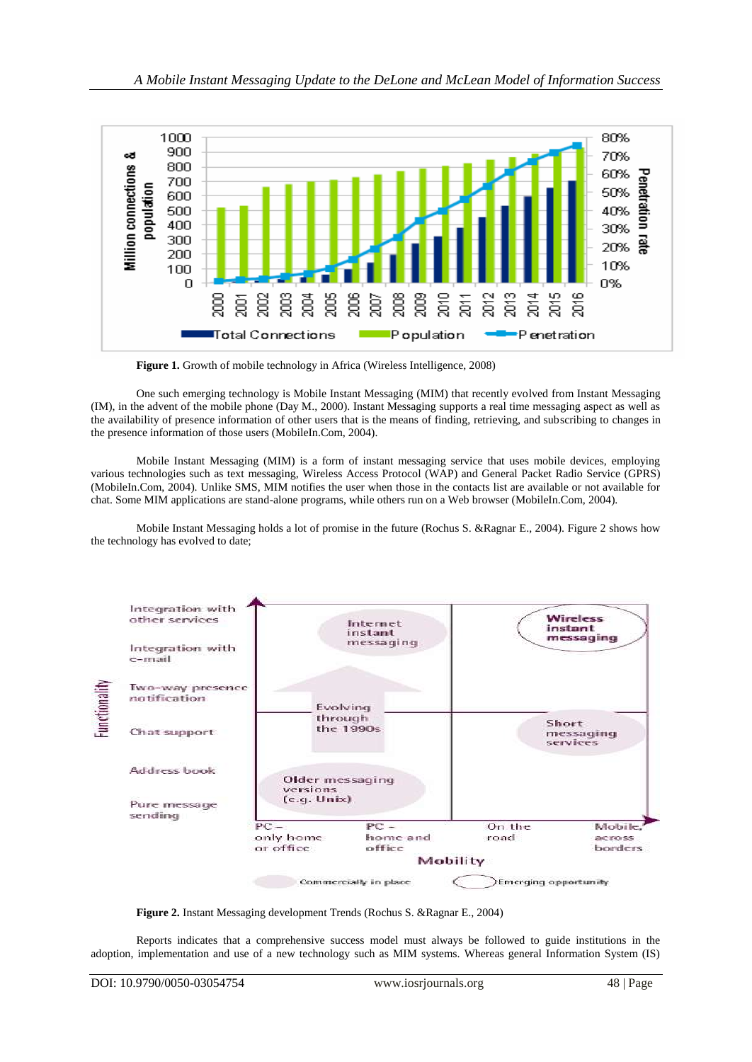

Figure 1. Growth of mobile technology in Africa (Wireless Intelligence, 2008)

One such emerging technology is Mobile Instant Messaging (MIM) that recently evolved from Instant Messaging (IM), in the advent of the mobile phone (Day M., 2000). Instant Messaging supports a real time messaging aspect as well as the availability of presence information of other users that is the means of finding, retrieving, and subscribing to changes in the presence information of those users (MobileIn.Com, 2004).

Mobile Instant Messaging (MIM) is a form of instant messaging service that uses mobile devices, employing various technologies such as text messaging, Wireless Access Protocol (WAP) and General Packet Radio Service (GPRS) (MobileIn.Com, 2004). Unlike SMS, MIM notifies the user when those in the contacts list are available or not available for chat. Some MIM applications are stand-alone programs, while others run on a Web browser (MobileIn.Com, 2004).

Mobile Instant Messaging holds a lot of promise in the future (Rochus S. &Ragnar E., 2004). Figure 2 shows how the technology has evolved to date;



**Figure 2.** Instant Messaging development Trends (Rochus S. &Ragnar E., 2004)

Reports indicates that a comprehensive success model must always be followed to guide institutions in the adoption, implementation and use of a new technology such as MIM systems. Whereas general Information System (IS)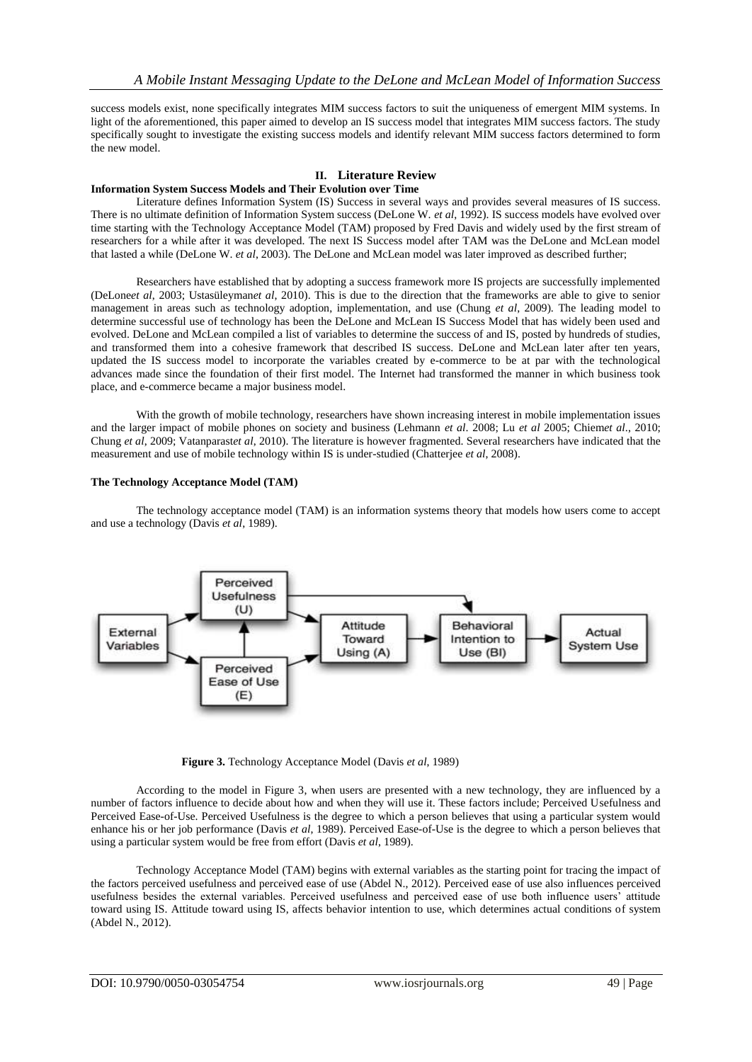success models exist, none specifically integrates MIM success factors to suit the uniqueness of emergent MIM systems. In light of the aforementioned, this paper aimed to develop an IS success model that integrates MIM success factors. The study specifically sought to investigate the existing success models and identify relevant MIM success factors determined to form the new model.

#### **II. Literature Review Information System Success Models and Their Evolution over Time**

Literature defines Information System (IS) Success in several ways and provides several measures of IS success. There is no ultimate definition of Information System success (DeLone W. *et al*, 1992). IS success models have evolved over time starting with the Technology Acceptance Model (TAM) proposed by Fred Davis and widely used by the first stream of researchers for a while after it was developed. The next IS Success model after TAM was the DeLone and McLean model that lasted a while (DeLone W. *et al*, 2003). The DeLone and McLean model was later improved as described further;

Researchers have established that by adopting a success framework more IS projects are successfully implemented (DeLone*et al*, 2003; Ustasüleyman*et al*, 2010). This is due to the direction that the frameworks are able to give to senior management in areas such as technology adoption, implementation, and use (Chung *et al*, 2009). The leading model to determine successful use of technology has been the DeLone and McLean IS Success Model that has widely been used and evolved. DeLone and McLean compiled a list of variables to determine the success of and IS, posted by hundreds of studies, and transformed them into a cohesive framework that described IS success. DeLone and McLean later after ten years, updated the IS success model to incorporate the variables created by e-commerce to be at par with the technological advances made since the foundation of their first model. The Internet had transformed the manner in which business took place, and e-commerce became a major business model.

With the growth of mobile technology, researchers have shown increasing interest in mobile implementation issues and the larger impact of mobile phones on society and business (Lehmann *et al*. 2008; Lu *et al* 2005; Chiem*et al*., 2010; Chung *et al*, 2009; Vatanparast*et al*, 2010). The literature is however fragmented. Several researchers have indicated that the measurement and use of mobile technology within IS is under-studied (Chatterjee *et al*, 2008).

## **The Technology Acceptance Model (TAM)**

The technology acceptance model (TAM) is an [information systems](https://en.wikipedia.org/wiki/Information_systems) theory that models how users come to accept and use a technology [\(Davis](https://en.wikipedia.org/wiki/Technology_acceptance_model#CITEREFDavisBagozziWarshaw1989) *et al*, 1989).



**Figure 3.** Technology Acceptance Model [\(Davis](https://en.wikipedia.org/wiki/Technology_acceptance_model#CITEREFDavisBagozziWarshaw1989) *et al*, 1989)

According to the model in Figure 3, when users are presented with a new technology, they are influenced by a number of factors influence to decide about how and when they will use it. These factors include; Perceived Usefulness and Perceived Ease-of-Use. Perceived Usefulness is the degree to which a person believes that using a particular system would enhance his or her job performance [\(Davis](https://en.wikipedia.org/wiki/Technology_acceptance_model#CITEREFDavisBagozziWarshaw1989) *et al*, 1989). Perceived Ease-of-Use is the degree to which a person believes that using a particular system would be free from effort [\(Davis](https://en.wikipedia.org/wiki/Technology_acceptance_model#CITEREFDavisBagozziWarshaw1989) *et al*, 1989).

Technology Acceptance Model (TAM) begins with external variables as the starting point for tracing the impact of the factors perceived usefulness and perceived ease of use (Abdel N., 2012). Perceived ease of use also influences perceived usefulness besides the external variables. Perceived usefulness and perceived ease of use both influence users" attitude toward using IS. Attitude toward using IS, affects behavior intention to use, which determines actual conditions of system (Abdel N., 2012).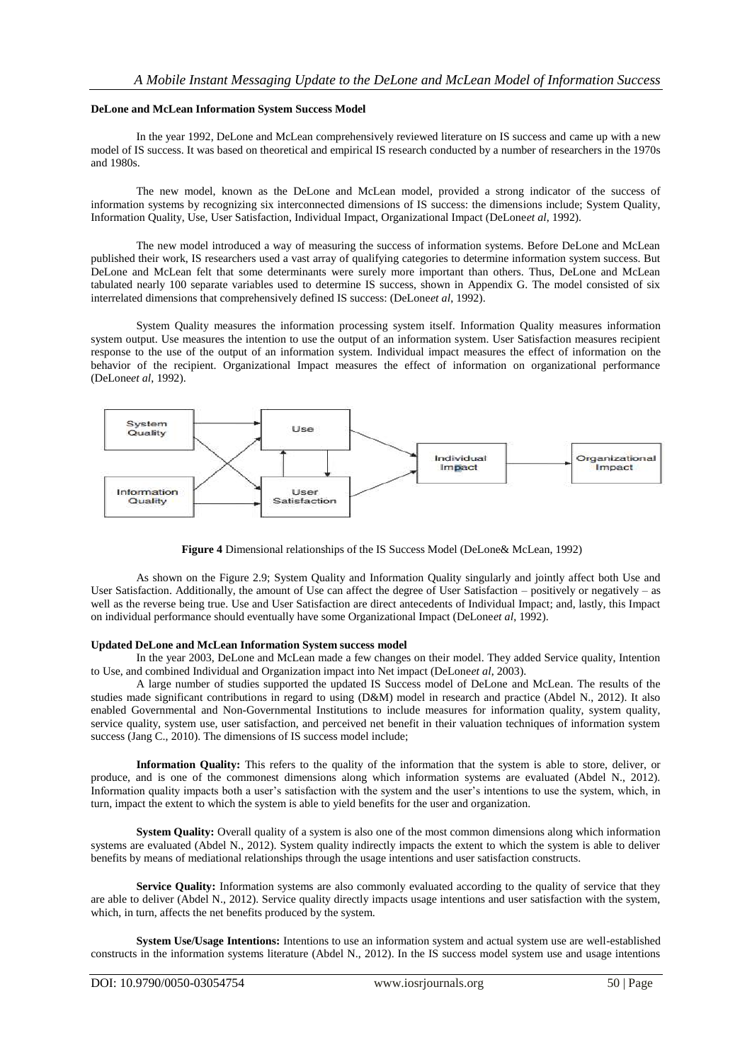## **DeLone and McLean Information System Success Model**

In the year 1992, DeLone and McLean comprehensively reviewed literature on IS success and came up with a new model of IS success. It was based on theoretical and empirical IS research conducted by a number of researchers in the 1970s and 1980s.

The new model, known as the DeLone and McLean model, provided a strong indicator of the success of information systems by recognizing six interconnected dimensions of IS success: the dimensions include; System Quality, Information Quality, Use, User Satisfaction, Individual Impact, Organizational Impact (DeLone*et al*, 1992).

The new model introduced a way of measuring the success of information systems. Before DeLone and McLean published their work, IS researchers used a vast array of qualifying categories to determine information system success. But DeLone and McLean felt that some determinants were surely more important than others. Thus, DeLone and McLean tabulated nearly 100 separate variables used to determine IS success, shown in Appendix G. The model consisted of six interrelated dimensions that comprehensively defined IS success: (DeLone*et al*, 1992).

System Quality measures the information processing system itself. Information Quality measures information system output. Use measures the intention to use the output of an information system. User Satisfaction measures recipient response to the use of the output of an information system. Individual impact measures the effect of information on the behavior of the recipient. Organizational Impact measures the effect of information on organizational performance (DeLone*et al*, 1992).



**Figure 4** Dimensional relationships of the IS Success Model (DeLone& McLean, 1992)

As shown on the Figure 2.9; System Quality and Information Quality singularly and jointly affect both Use and User Satisfaction. Additionally, the amount of Use can affect the degree of User Satisfaction – positively or negatively – as well as the reverse being true. Use and User Satisfaction are direct antecedents of Individual Impact; and, lastly, this Impact on individual performance should eventually have some Organizational Impact (DeLone*et al*, 1992).

### **Updated DeLone and McLean Information System success model**

In the year 2003, DeLone and McLean made a few changes on their model. They added Service quality, Intention to Use, and combined Individual and Organization impact into Net impact (DeLone*et al*, 2003).

A large number of studies supported the updated IS Success model of DeLone and McLean. The results of the studies made significant contributions in regard to using (D&M) model in research and practice (Abdel N., 2012). It also enabled Governmental and Non-Governmental Institutions to include measures for information quality, system quality, service quality, system use, user satisfaction, and perceived net benefit in their valuation techniques of information system success (Jang C., 2010). The dimensions of IS success model include;

**Information Quality:** This refers to the quality of the information that the system is able to store, deliver, or produce, and is one of the commonest dimensions along which information systems are evaluated (Abdel N., 2012). Information quality impacts both a user"s satisfaction with the system and the user"s intentions to use the system, which, in turn, impact the extent to which the system is able to yield benefits for the user and organization.

**System Quality:** Overall quality of a system is also one of the most common dimensions along which information systems are evaluated (Abdel N., 2012). System quality indirectly impacts the extent to which the system is able to deliver benefits by means of [mediational relationships](https://en.wikipedia.org/wiki/Mediation_%28statistics%29) through the usage intentions and user satisfaction constructs.

**Service Quality:** Information systems are also commonly evaluated according to the quality of service that they are able to deliver (Abdel N., 2012). Service quality directly impacts usage intentions and user satisfaction with the system, which, in turn, affects the net benefits produced by the system.

**System Use/Usage Intentions:** Intentions to use an information system and actual system use are well-established constructs in the information systems literature (Abdel N., 2012). In the IS success model system use and usage intentions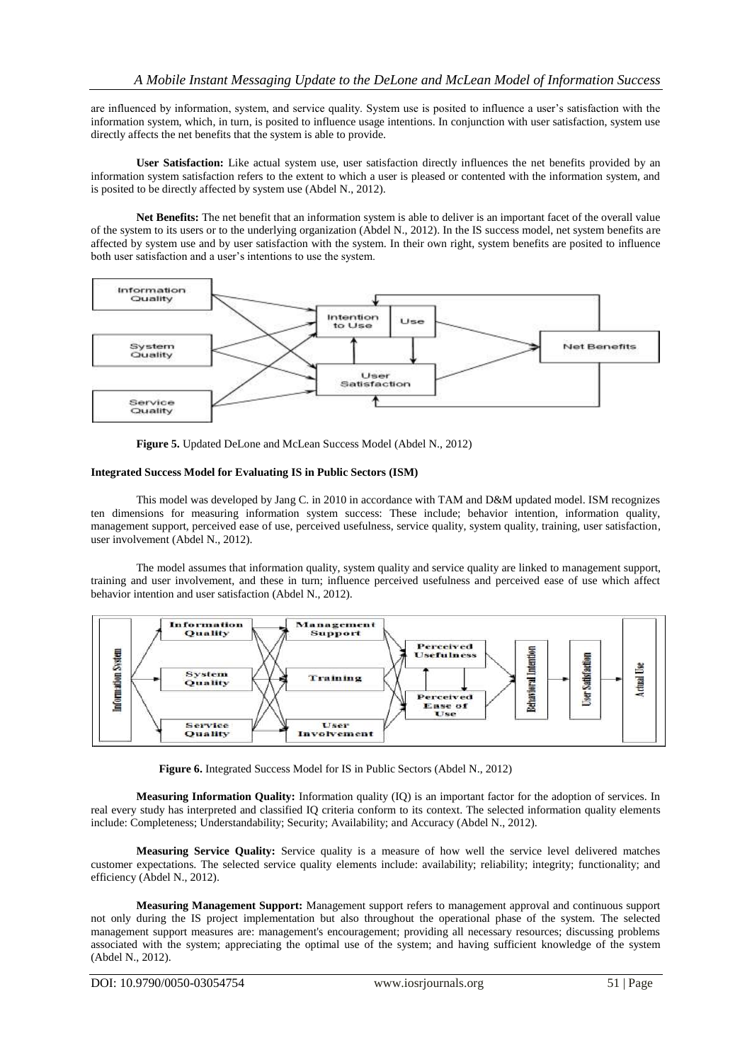are influenced by information, system, and service quality. System use is posited to influence a user"s satisfaction with the information system, which, in turn, is posited to influence usage intentions. In conjunction with user satisfaction, system use directly affects the net benefits that the system is able to provide.

**User Satisfaction:** Like actual system use, user satisfaction directly influences the net benefits provided by an information system satisfaction refers to the extent to which a user is pleased or contented with the information system, and is posited to be directly affected by system use (Abdel N., 2012).

**Net Benefits:** The net benefit that an information system is able to deliver is an important facet of the overall value of the system to its users or to the underlying organization (Abdel N., 2012). In the IS success model, net system benefits are affected by system use and by user satisfaction with the system. In their own right, system benefits are posited to influence both user satisfaction and a user"s intentions to use the system.



**Figure 5.** Updated DeLone and McLean Success Model (Abdel N., 2012)

## **Integrated Success Model for Evaluating IS in Public Sectors (ISM)**

This model was developed by Jang C. in 2010 in accordance with TAM and D&M updated model. ISM recognizes ten dimensions for measuring information system success: These include; behavior intention, information quality, management support, perceived ease of use, perceived usefulness, service quality, system quality, training, user satisfaction, user involvement (Abdel N., 2012).

The model assumes that information quality, system quality and service quality are linked to management support, training and user involvement, and these in turn; influence perceived usefulness and perceived ease of use which affect behavior intention and user satisfaction (Abdel N., 2012).



**Figure 6.** Integrated Success Model for IS in Public Sectors (Abdel N., 2012)

**Measuring Information Quality:** Information quality (IQ) is an important factor for the adoption of services. In real every study has interpreted and classified IQ criteria conform to its context. The selected information quality elements include: Completeness; Understandability; Security; Availability; and Accuracy (Abdel N., 2012).

**Measuring Service Quality:** Service quality is a measure of how well the service level delivered matches customer expectations. The selected service quality elements include: availability; reliability; integrity; functionality; and efficiency (Abdel N., 2012).

**Measuring Management Support:** Management support refers to management approval and continuous support not only during the IS project implementation but also throughout the operational phase of the system. The selected management support measures are: management's encouragement; providing all necessary resources; discussing problems associated with the system; appreciating the optimal use of the system; and having sufficient knowledge of the system (Abdel N., 2012).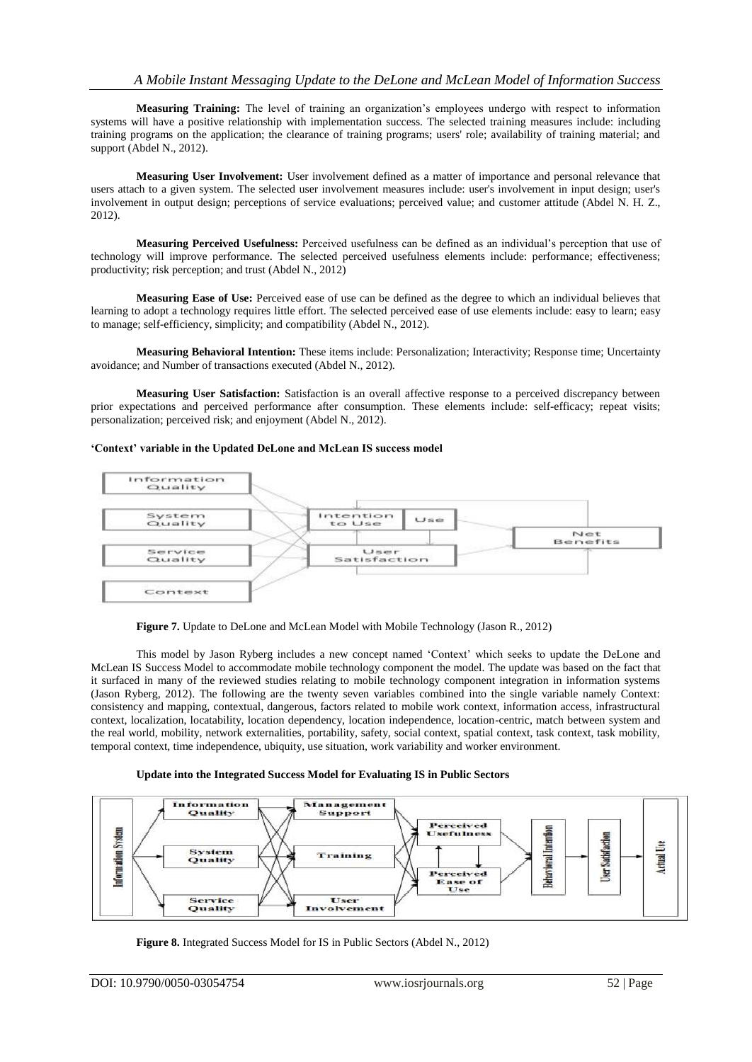**Measuring Training:** The level of training an organization"s employees undergo with respect to information systems will have a positive relationship with implementation success. The selected training measures include: including training programs on the application; the clearance of training programs; users' role; availability of training material; and support (Abdel N., 2012).

**Measuring User Involvement:** User involvement defined as a matter of importance and personal relevance that users attach to a given system. The selected user involvement measures include: user's involvement in input design; user's involvement in output design; perceptions of service evaluations; perceived value; and customer attitude (Abdel N. H. Z., 2012).

**Measuring Perceived Usefulness:** Perceived usefulness can be defined as an individual"s perception that use of technology will improve performance. The selected perceived usefulness elements include: performance; effectiveness; productivity; risk perception; and trust (Abdel N., 2012)

**Measuring Ease of Use:** Perceived ease of use can be defined as the degree to which an individual believes that learning to adopt a technology requires little effort. The selected perceived ease of use elements include: easy to learn; easy to manage; self-efficiency, simplicity; and compatibility (Abdel N., 2012).

**Measuring Behavioral Intention:** These items include: Personalization; Interactivity; Response time; Uncertainty avoidance; and Number of transactions executed (Abdel N., 2012).

**Measuring User Satisfaction:** Satisfaction is an overall affective response to a perceived discrepancy between prior expectations and perceived performance after consumption. These elements include: self-efficacy; repeat visits; personalization; perceived risk; and enjoyment (Abdel N., 2012).

## **'Context' variable in the Updated DeLone and McLean IS success model**



Figure 7. Update to DeLone and McLean Model with Mobile Technology (Jason R., 2012)

This model by Jason Ryberg includes a new concept named "Context" which seeks to update the DeLone and McLean IS Success Model to accommodate mobile technology component the model. The update was based on the fact that it surfaced in many of the reviewed studies relating to mobile technology component integration in information systems (Jason Ryberg, 2012). The following are the twenty seven variables combined into the single variable namely Context: consistency and mapping, contextual, dangerous, factors related to mobile work context, information access, infrastructural context, localization, locatability, location dependency, location independence, location-centric, match between system and the real world, mobility, network externalities, portability, safety, social context, spatial context, task context, task mobility, temporal context, time independence, ubiquity, use situation, work variability and worker environment.

## **Update into the Integrated Success Model for Evaluating IS in Public Sectors**



**Figure 8.** Integrated Success Model for IS in Public Sectors (Abdel N., 2012)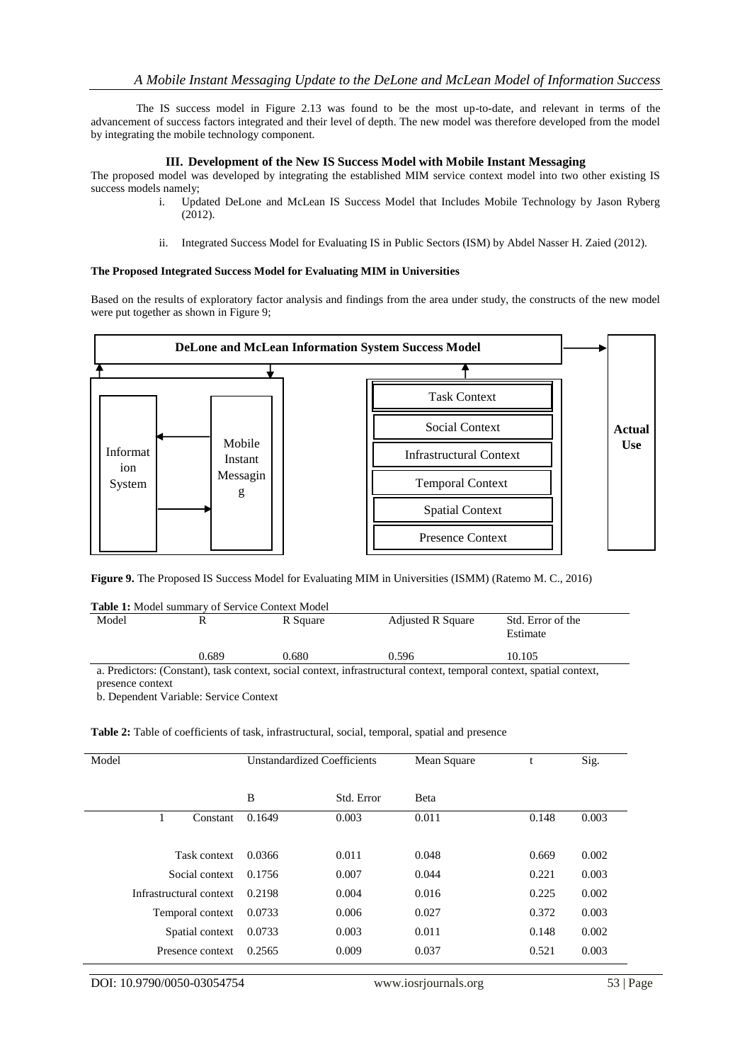The IS success model in Figure 2.13 was found to be the most up-to-date, and relevant in terms of the advancement of success factors integrated and their level of depth. The new model was therefore developed from the model by integrating the mobile technology component.

## **III. Development of the New IS Success Model with Mobile Instant Messaging**

The proposed model was developed by integrating the established MIM service context model into two other existing IS success models namely:

- i. Updated DeLone and McLean IS Success Model that Includes Mobile Technology by Jason Ryberg (2012).
- ii. Integrated Success Model for Evaluating IS in Public Sectors (ISM) by Abdel Nasser H. Zaied (2012).

### **The Proposed Integrated Success Model for Evaluating MIM in Universities**

Based on the results of exploratory factor analysis and findings from the area under study, the constructs of the new model were put together as shown in Figure 9;



**Figure 9.** The Proposed IS Success Model for Evaluating MIM in Universities (ISMM) (Ratemo M. C., 2016)

**Table 1:** Model summary of Service Context Model

| Model                                                                                                         |       | R Square | <b>Adjusted R Square</b> | Std. Error of the<br>Estimate |  |  |  |
|---------------------------------------------------------------------------------------------------------------|-------|----------|--------------------------|-------------------------------|--|--|--|
|                                                                                                               | 0.689 | 0.680    | 0.596                    | 10.105                        |  |  |  |
| a Predictors: (Constant) task context social context infrastructural context temporal context spatial context |       |          |                          |                               |  |  |  |

uctural context, temporal context, spatial context, presence context

b. Dependent Variable: Service Context

**Table 2:** Table of coefficients of task, infrastructural, social, temporal, spatial and presence

| Model                   | <b>Unstandardized Coefficients</b> |            | Mean Square | t     | Sig.  |
|-------------------------|------------------------------------|------------|-------------|-------|-------|
|                         | B                                  | Std. Error | Beta        |       |       |
| Constant                | 0.1649                             | 0.003      | 0.011       | 0.148 | 0.003 |
| Task context            | 0.0366                             | 0.011      | 0.048       | 0.669 | 0.002 |
| Social context          | 0.1756                             | 0.007      | 0.044       | 0.221 | 0.003 |
| Infrastructural context | 0.2198                             | 0.004      | 0.016       | 0.225 | 0.002 |
| Temporal context        | 0.0733                             | 0.006      | 0.027       | 0.372 | 0.003 |
| Spatial context         | 0.0733                             | 0.003      | 0.011       | 0.148 | 0.002 |
| Presence context        | 0.2565                             | 0.009      | 0.037       | 0.521 | 0.003 |